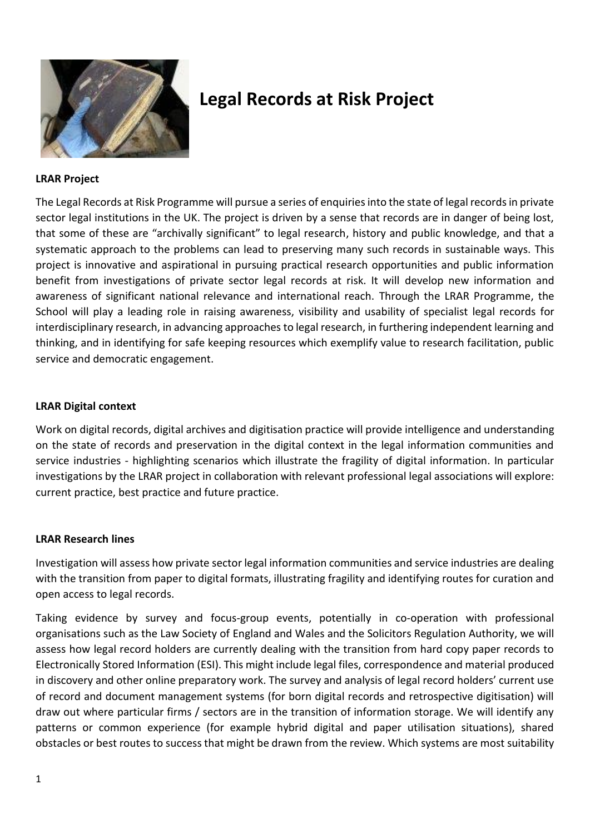

# **Legal Records at Risk Project**

### **LRAR Project**

The Legal Records at Risk Programme will pursue a series of enquiries into the state of legal records in private sector legal institutions in the UK. The project is driven by a sense that records are in danger of being lost, that some of these are "archivally significant" to legal research, history and public knowledge, and that a systematic approach to the problems can lead to preserving many such records in sustainable ways. This project is innovative and aspirational in pursuing practical research opportunities and public information benefit from investigations of private sector legal records at risk. It will develop new information and awareness of significant national relevance and international reach. Through the LRAR Programme, the School will play a leading role in raising awareness, visibility and usability of specialist legal records for interdisciplinary research, in advancing approaches to legal research, in furthering independent learning and thinking, and in identifying for safe keeping resources which exemplify value to research facilitation, public service and democratic engagement.

#### **LRAR Digital context**

Work on digital records, digital archives and digitisation practice will provide intelligence and understanding on the state of records and preservation in the digital context in the legal information communities and service industries - highlighting scenarios which illustrate the fragility of digital information. In particular investigations by the LRAR project in collaboration with relevant professional legal associations will explore: current practice, best practice and future practice.

#### **LRAR Research lines**

Investigation will assess how private sector legal information communities and service industries are dealing with the transition from paper to digital formats, illustrating fragility and identifying routes for curation and open access to legal records.

Taking evidence by survey and focus-group events, potentially in co-operation with professional organisations such as the Law Society of England and Wales and the Solicitors Regulation Authority, we will assess how legal record holders are currently dealing with the transition from hard copy paper records to Electronically Stored Information (ESI). This might include legal files, correspondence and material produced in discovery and other online preparatory work. The survey and analysis of legal record holders' current use of record and document management systems (for born digital records and retrospective digitisation) will draw out where particular firms / sectors are in the transition of information storage. We will identify any patterns or common experience (for example hybrid digital and paper utilisation situations), shared obstacles or best routes to success that might be drawn from the review. Which systems are most suitability